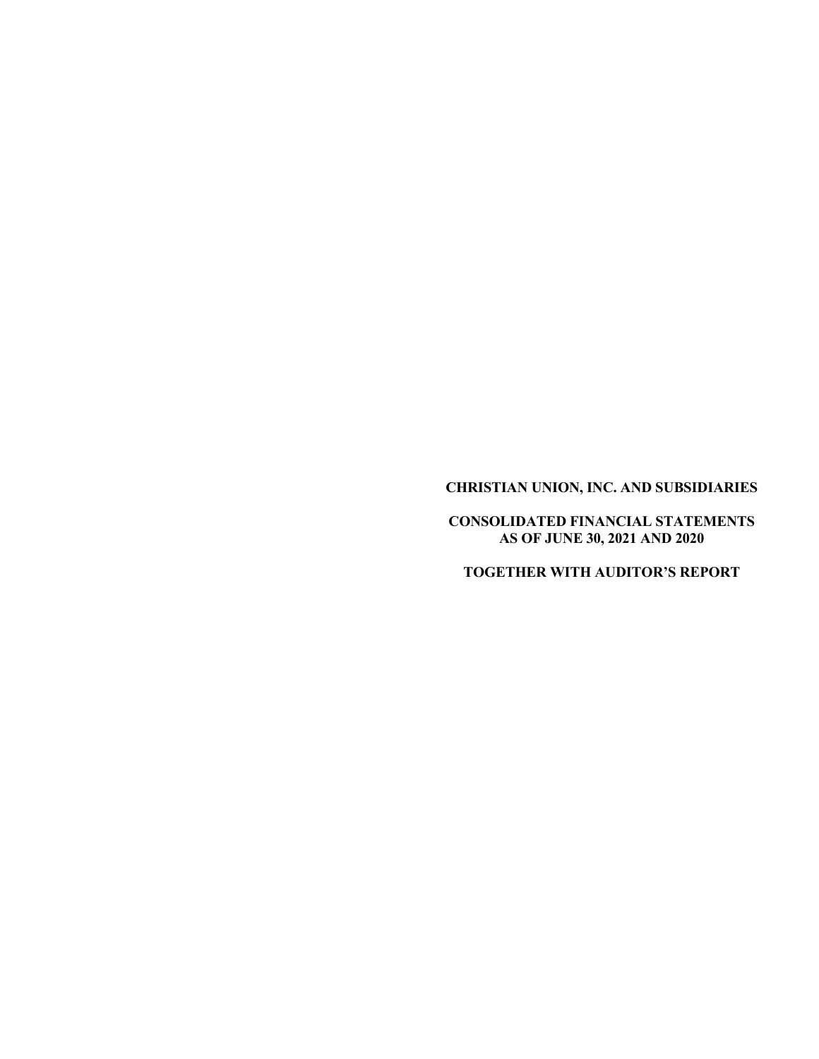# **CHRISTIAN UNION, INC. AND SUBSIDIARIES**

# **CONSOLIDATED FINANCIAL STATEMENTS AS OF JUNE 30, 2021 AND 2020**

# **TOGETHER WITH AUDITOR'S REPORT**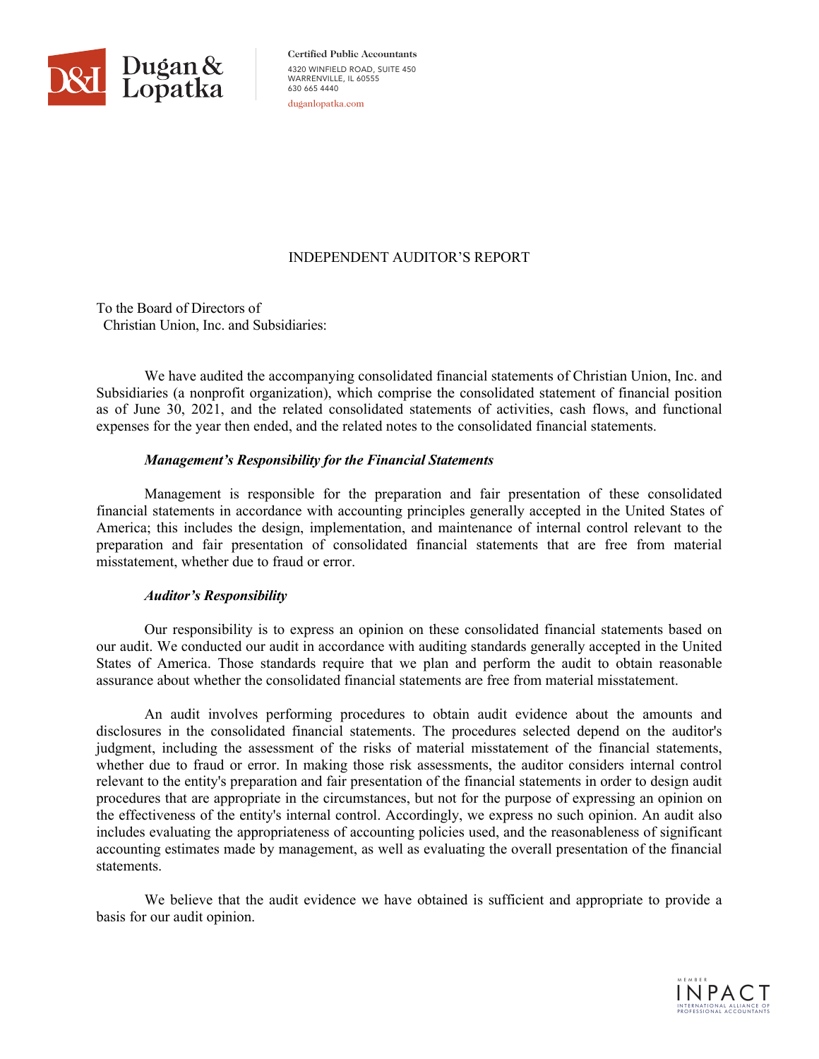

**Certified Public Accountants** 4320 WINFIELD ROAD, SUITE 450 WARRENVILLE, IL 60555 630 665 4440 duganlopatka.com

# INDEPENDENT AUDITOR'S REPORT

To the Board of Directors of Christian Union, Inc. and Subsidiaries:

 We have audited the accompanying consolidated financial statements of Christian Union, Inc. and Subsidiaries (a nonprofit organization), which comprise the consolidated statement of financial position as of June 30, 2021, and the related consolidated statements of activities, cash flows, and functional expenses for the year then ended, and the related notes to the consolidated financial statements.

# *Management's Responsibility for the Financial Statements*

 Management is responsible for the preparation and fair presentation of these consolidated financial statements in accordance with accounting principles generally accepted in the United States of America; this includes the design, implementation, and maintenance of internal control relevant to the preparation and fair presentation of consolidated financial statements that are free from material misstatement, whether due to fraud or error.

# *Auditor's Responsibility*

 Our responsibility is to express an opinion on these consolidated financial statements based on our audit. We conducted our audit in accordance with auditing standards generally accepted in the United States of America. Those standards require that we plan and perform the audit to obtain reasonable assurance about whether the consolidated financial statements are free from material misstatement.

 An audit involves performing procedures to obtain audit evidence about the amounts and disclosures in the consolidated financial statements. The procedures selected depend on the auditor's judgment, including the assessment of the risks of material misstatement of the financial statements, whether due to fraud or error. In making those risk assessments, the auditor considers internal control relevant to the entity's preparation and fair presentation of the financial statements in order to design audit procedures that are appropriate in the circumstances, but not for the purpose of expressing an opinion on the effectiveness of the entity's internal control. Accordingly, we express no such opinion. An audit also includes evaluating the appropriateness of accounting policies used, and the reasonableness of significant accounting estimates made by management, as well as evaluating the overall presentation of the financial statements.

 We believe that the audit evidence we have obtained is sufficient and appropriate to provide a basis for our audit opinion.

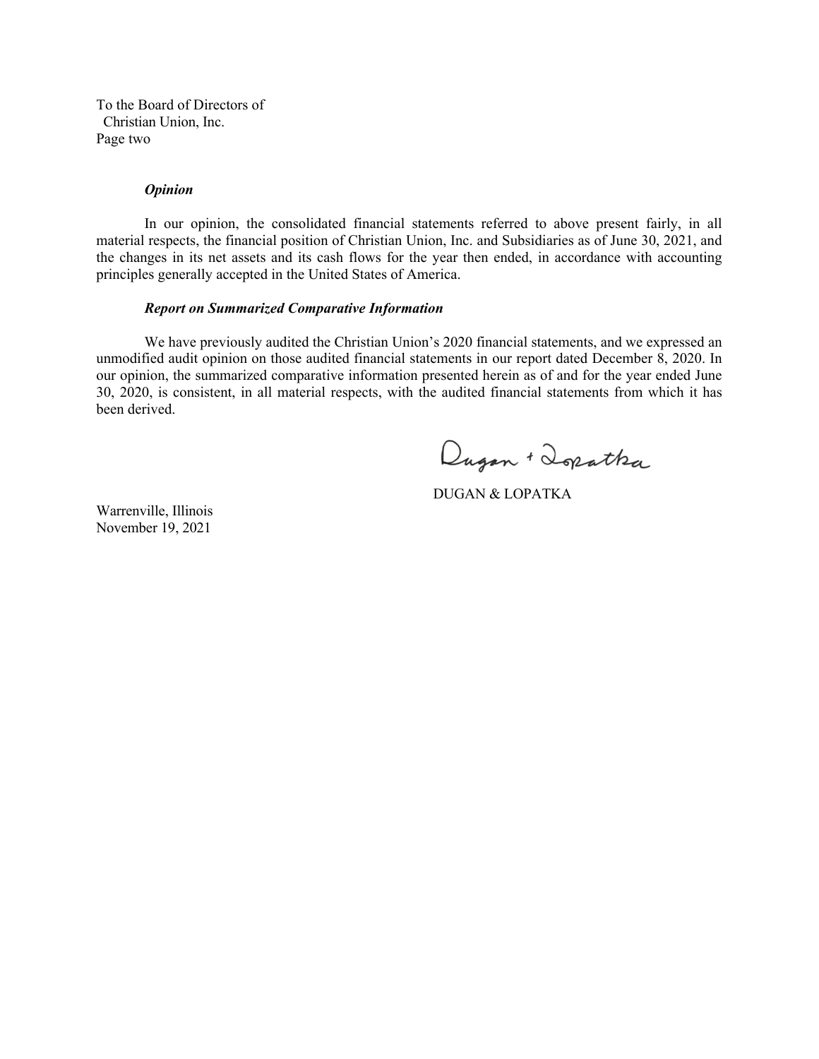To the Board of Directors of Christian Union, Inc. Page two

### *Opinion*

 In our opinion, the consolidated financial statements referred to above present fairly, in all material respects, the financial position of Christian Union, Inc. and Subsidiaries as of June 30, 2021, and the changes in its net assets and its cash flows for the year then ended, in accordance with accounting principles generally accepted in the United States of America.

# *Report on Summarized Comparative Information*

We have previously audited the Christian Union's 2020 financial statements, and we expressed an unmodified audit opinion on those audited financial statements in our report dated December 8, 2020. In our opinion, the summarized comparative information presented herein as of and for the year ended June 30, 2020, is consistent, in all material respects, with the audited financial statements from which it has been derived.

Dugan + Dopatha

DUGAN & LOPATKA

Warrenville, Illinois November 19, 2021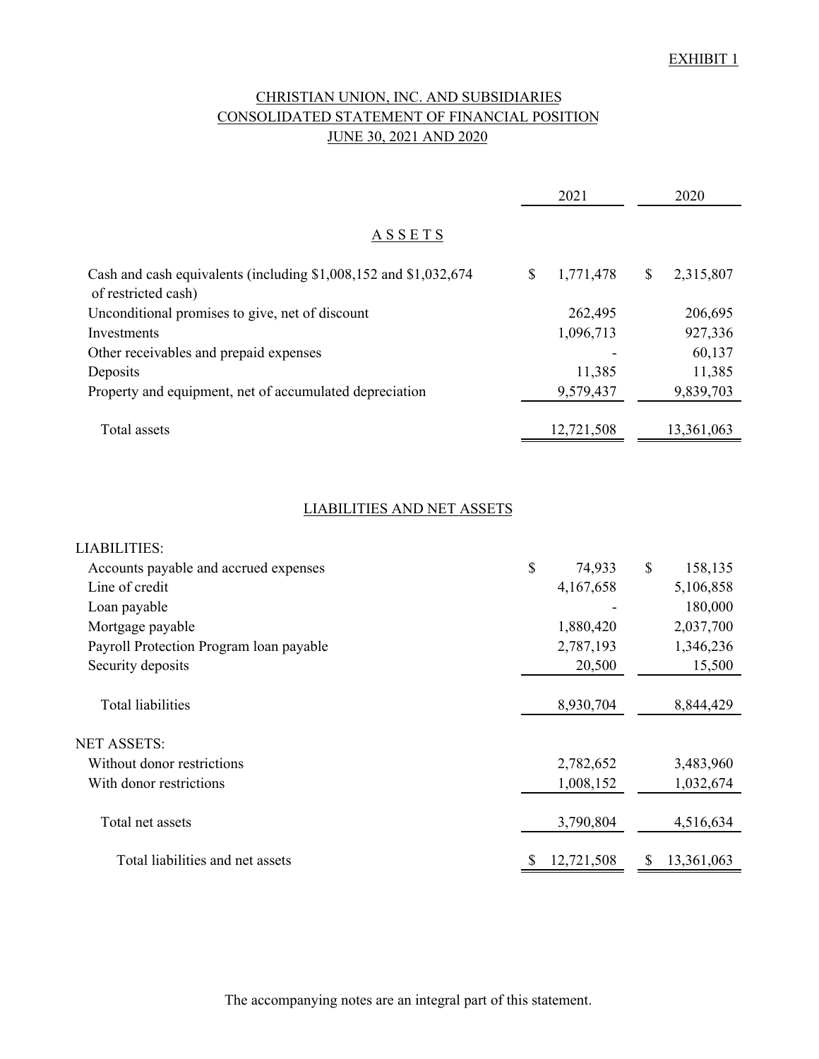# EXHIBIT 1

# CHRISTIAN UNION, INC. AND SUBSIDIARIES CONSOLIDATED STATEMENT OF FINANCIAL POSITION JUNE 30, 2021 AND 2020

|                                                                                           | 2021            | 2020            |
|-------------------------------------------------------------------------------------------|-----------------|-----------------|
| ASSETS                                                                                    |                 |                 |
| Cash and cash equivalents (including $$1,008,152$ and $$1,032,674$<br>of restricted cash) | \$<br>1,771,478 | \$<br>2,315,807 |
| Unconditional promises to give, net of discount                                           | 262,495         | 206,695         |
| Investments                                                                               | 1,096,713       | 927,336         |
| Other receivables and prepaid expenses                                                    |                 | 60,137          |
| Deposits                                                                                  | 11,385          | 11,385          |
| Property and equipment, net of accumulated depreciation                                   | 9,579,437       | 9,839,703       |
| Total assets                                                                              | 12,721,508      | 13,361,063      |

# LIABILITIES AND NET ASSETS

| <b>LIABILITIES:</b>                     |    |            |               |            |
|-----------------------------------------|----|------------|---------------|------------|
| Accounts payable and accrued expenses   | \$ | 74,933     | $\mathcal{S}$ | 158,135    |
| Line of credit                          |    | 4,167,658  |               | 5,106,858  |
| Loan payable                            |    |            |               | 180,000    |
| Mortgage payable                        |    | 1,880,420  |               | 2,037,700  |
| Payroll Protection Program loan payable |    | 2,787,193  |               | 1,346,236  |
| Security deposits                       |    | 20,500     |               | 15,500     |
|                                         |    |            |               |            |
| Total liabilities                       |    | 8,930,704  |               | 8,844,429  |
|                                         |    |            |               |            |
| <b>NET ASSETS:</b>                      |    |            |               |            |
| Without donor restrictions              |    | 2,782,652  |               | 3,483,960  |
| With donor restrictions                 |    | 1,008,152  |               | 1,032,674  |
|                                         |    |            |               |            |
| Total net assets                        |    | 3,790,804  |               | 4,516,634  |
|                                         |    |            |               |            |
| Total liabilities and net assets        | S  | 12,721,508 | \$            | 13,361,063 |

The accompanying notes are an integral part of this statement.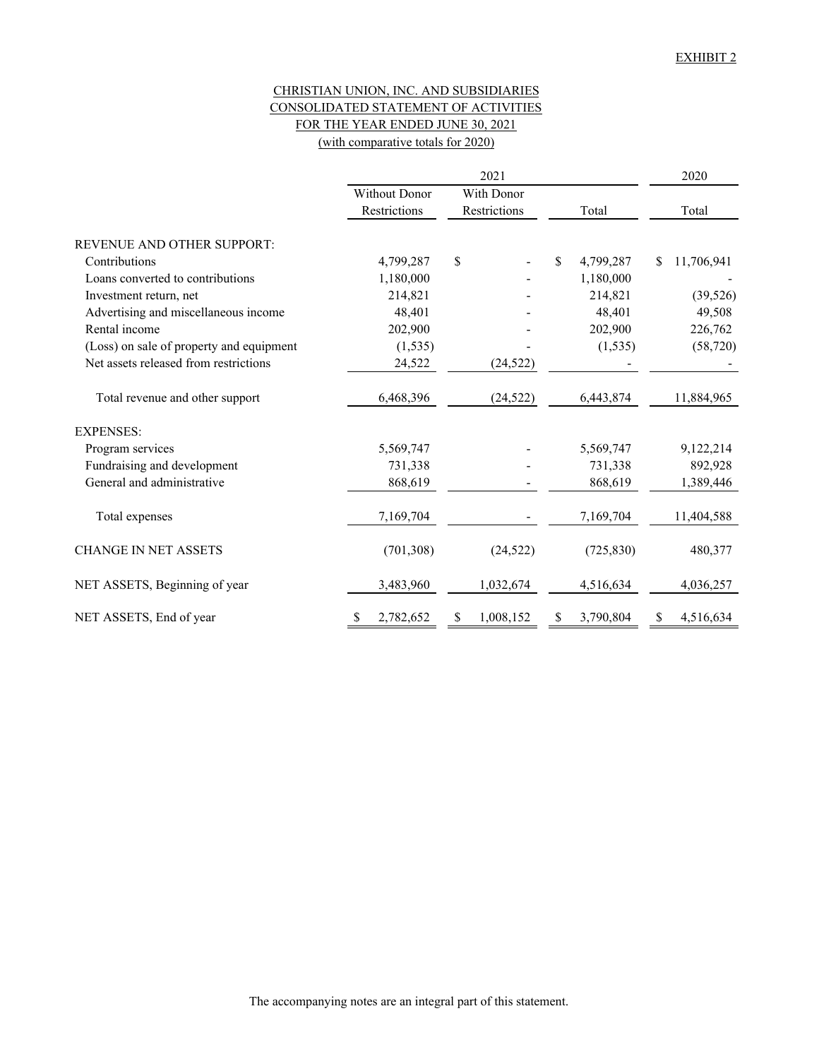# CHRISTIAN UNION, INC. AND SUBSIDIARIES CONSOLIDATED STATEMENT OF ACTIVITIES FOR THE YEAR ENDED JUNE 30, 2021 (with comparative totals for 2020)

|                                          |                      | 2020         |                 |                  |
|------------------------------------------|----------------------|--------------|-----------------|------------------|
|                                          | <b>Without Donor</b> | With Donor   |                 |                  |
|                                          | Restrictions         | Restrictions | Total           | Total            |
| REVENUE AND OTHER SUPPORT:               |                      |              |                 |                  |
| Contributions                            | 4,799,287            | \$           | \$<br>4,799,287 | 11,706,941<br>\$ |
| Loans converted to contributions         | 1,180,000            |              | 1,180,000       |                  |
| Investment return, net                   | 214,821              |              | 214,821         | (39, 526)        |
| Advertising and miscellaneous income     | 48,401               |              | 48,401          | 49,508           |
| Rental income                            | 202,900              |              | 202,900         | 226,762          |
| (Loss) on sale of property and equipment | (1,535)              |              | (1, 535)        | (58, 720)        |
| Net assets released from restrictions    | 24,522               | (24, 522)    |                 |                  |
| Total revenue and other support          | 6,468,396            | (24, 522)    | 6,443,874       | 11,884,965       |
| <b>EXPENSES:</b>                         |                      |              |                 |                  |
| Program services                         | 5,569,747            |              | 5,569,747       | 9,122,214        |
| Fundraising and development              | 731,338              |              | 731,338         | 892,928          |
| General and administrative               | 868,619              |              | 868,619         | 1,389,446        |
| Total expenses                           | 7,169,704            |              | 7,169,704       | 11,404,588       |
| <b>CHANGE IN NET ASSETS</b>              | (701, 308)           | (24, 522)    | (725, 830)      | 480,377          |
| NET ASSETS, Beginning of year            | 3,483,960            | 1,032,674    | 4,516,634       | 4,036,257        |
| NET ASSETS, End of year                  | 2,782,652            | 1,008,152    | 3,790,804<br>\$ | 4,516,634        |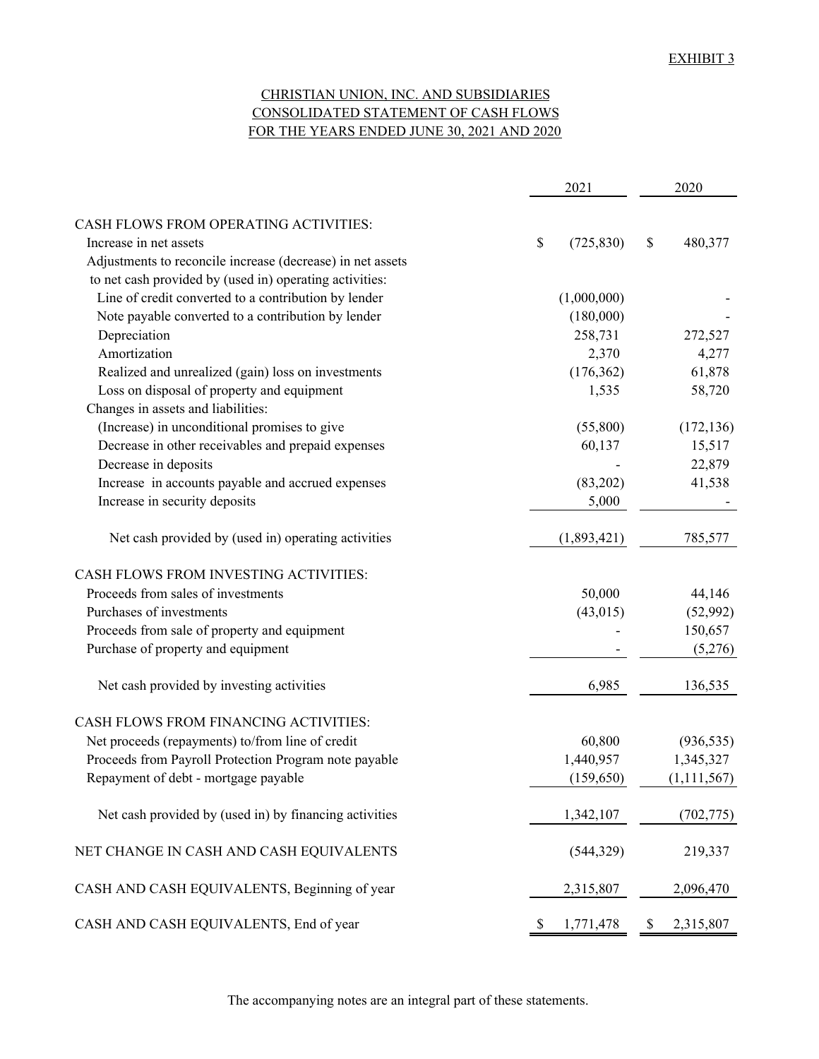# CHRISTIAN UNION, INC. AND SUBSIDIARIES CONSOLIDATED STATEMENT OF CASH FLOWS FOR THE YEARS ENDED JUNE 30, 2021 AND 2020

|                                                            | 2021                      |                  | 2020          |  |
|------------------------------------------------------------|---------------------------|------------------|---------------|--|
| CASH FLOWS FROM OPERATING ACTIVITIES:                      |                           |                  |               |  |
| Increase in net assets                                     | $\boldsymbol{\mathsf{S}}$ | (725, 830)<br>\$ | 480,377       |  |
| Adjustments to reconcile increase (decrease) in net assets |                           |                  |               |  |
|                                                            |                           |                  |               |  |
| to net cash provided by (used in) operating activities:    |                           |                  |               |  |
| Line of credit converted to a contribution by lender       | (1,000,000)               |                  |               |  |
| Note payable converted to a contribution by lender         |                           | (180,000)        |               |  |
| Depreciation                                               |                           | 258,731          | 272,527       |  |
| Amortization                                               |                           | 2,370            | 4,277         |  |
| Realized and unrealized (gain) loss on investments         |                           | (176, 362)       | 61,878        |  |
| Loss on disposal of property and equipment                 |                           | 1,535            | 58,720        |  |
| Changes in assets and liabilities:                         |                           |                  |               |  |
| (Increase) in unconditional promises to give               |                           | (55,800)         | (172, 136)    |  |
| Decrease in other receivables and prepaid expenses         |                           | 60,137           | 15,517        |  |
| Decrease in deposits                                       |                           |                  | 22,879        |  |
| Increase in accounts payable and accrued expenses          |                           | (83,202)         | 41,538        |  |
| Increase in security deposits                              |                           | 5,000            |               |  |
| Net cash provided by (used in) operating activities        | (1,893,421)               |                  | 785,577       |  |
| CASH FLOWS FROM INVESTING ACTIVITIES:                      |                           |                  |               |  |
| Proceeds from sales of investments                         |                           | 50,000           | 44,146        |  |
| Purchases of investments                                   |                           | (43, 015)        | (52, 992)     |  |
| Proceeds from sale of property and equipment               |                           |                  | 150,657       |  |
| Purchase of property and equipment                         |                           |                  | (5,276)       |  |
| Net cash provided by investing activities                  |                           | 6,985            | 136,535       |  |
| CASH FLOWS FROM FINANCING ACTIVITIES:                      |                           |                  |               |  |
| Net proceeds (repayments) to/from line of credit           |                           | 60,800           | (936, 535)    |  |
| Proceeds from Payroll Protection Program note payable      | 1,440,957                 |                  | 1,345,327     |  |
| Repayment of debt - mortgage payable                       |                           | (159, 650)       | (1, 111, 567) |  |
| Net cash provided by (used in) by financing activities     | 1,342,107                 |                  | (702, 775)    |  |
| NET CHANGE IN CASH AND CASH EQUIVALENTS                    |                           | (544, 329)       | 219,337       |  |
| CASH AND CASH EQUIVALENTS, Beginning of year               | 2,315,807                 |                  | 2,096,470     |  |
| CASH AND CASH EQUIVALENTS, End of year                     | \$<br>1,771,478           | \$               | 2,315,807     |  |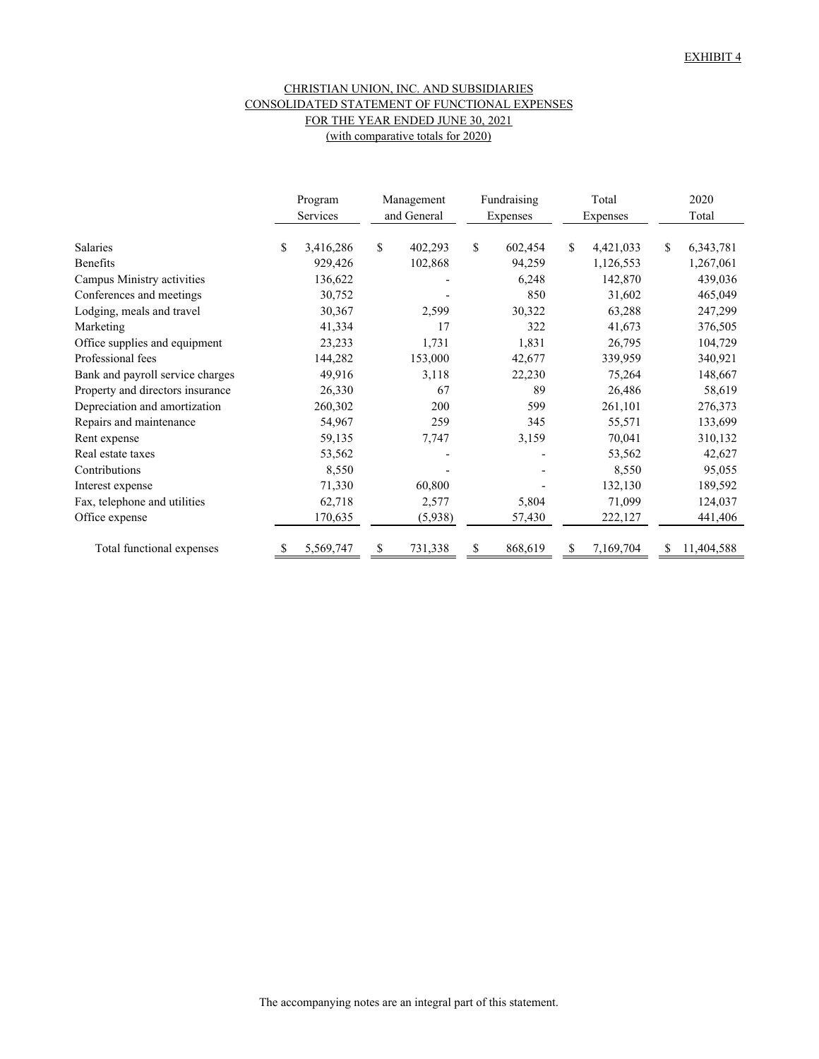# CHRISTIAN UNION, INC. AND SUBSIDIARIES CONSOLIDATED STATEMENT OF FUNCTIONAL EXPENSES FOR THE YEAR ENDED JUNE 30, 2021 (with comparative totals for 2020)

|                                  |    | Program<br>Services | Management<br>and General |    | Fundraising<br>Expenses |    | Total<br>Expenses |    | 2020<br>Total |
|----------------------------------|----|---------------------|---------------------------|----|-------------------------|----|-------------------|----|---------------|
| <b>Salaries</b>                  | \$ | 3,416,286           | \$<br>402,293             | \$ | 602,454                 | \$ | 4,421,033         | \$ | 6,343,781     |
| <b>Benefits</b>                  |    | 929,426             | 102,868                   |    | 94,259                  |    | 1,126,553         |    | 1,267,061     |
| Campus Ministry activities       |    | 136,622             |                           |    | 6,248                   |    | 142,870           |    | 439,036       |
| Conferences and meetings         |    | 30,752              |                           |    | 850                     |    | 31,602            |    | 465,049       |
| Lodging, meals and travel        |    | 30,367              | 2,599                     |    | 30,322                  |    | 63,288            |    | 247,299       |
| Marketing                        |    | 41,334              | 17                        |    | 322                     |    | 41,673            |    | 376,505       |
| Office supplies and equipment    |    | 23,233              | 1,731                     |    | 1,831                   |    | 26,795            |    | 104,729       |
| Professional fees                |    | 144,282             | 153,000                   |    | 42,677                  |    | 339,959           |    | 340,921       |
| Bank and payroll service charges |    | 49,916              | 3,118                     |    | 22,230                  |    | 75,264            |    | 148,667       |
| Property and directors insurance |    | 26,330              | 67                        |    | 89                      |    | 26,486            |    | 58,619        |
| Depreciation and amortization    |    | 260,302             | 200                       |    | 599                     |    | 261,101           |    | 276,373       |
| Repairs and maintenance          |    | 54,967              | 259                       |    | 345                     |    | 55,571            |    | 133,699       |
| Rent expense                     |    | 59,135              | 7,747                     |    | 3,159                   |    | 70,041            |    | 310,132       |
| Real estate taxes                |    | 53,562              |                           |    |                         |    | 53,562            |    | 42,627        |
| Contributions                    |    | 8,550               |                           |    |                         |    | 8,550             |    | 95,055        |
| Interest expense                 |    | 71,330              | 60,800                    |    |                         |    | 132,130           |    | 189,592       |
| Fax, telephone and utilities     |    | 62,718              | 2,577                     |    | 5,804                   |    | 71,099            |    | 124,037       |
| Office expense                   |    | 170,635             | (5,938)                   |    | 57,430                  |    | 222,127           |    | 441,406       |
| Total functional expenses        | S  | 5,569,747           | \$<br>731,338             | S  | 868,619                 | S  | 7,169,704         | S  | 11,404,588    |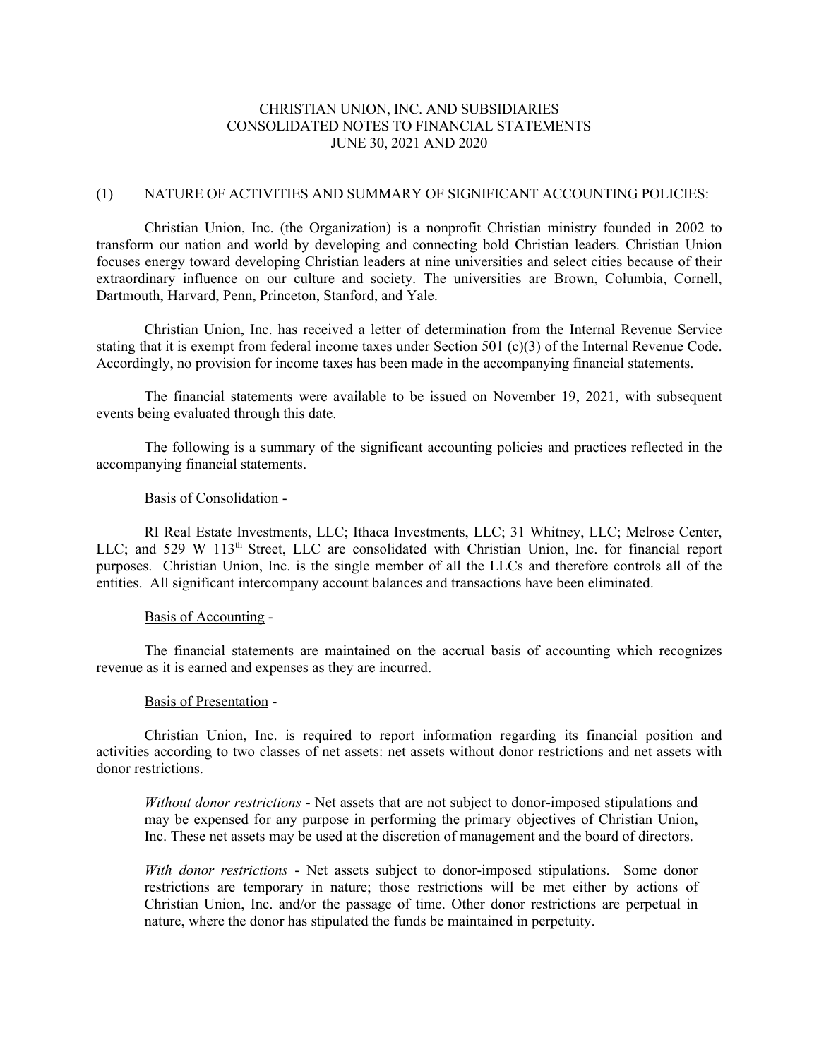# CHRISTIAN UNION, INC. AND SUBSIDIARIES CONSOLIDATED NOTES TO FINANCIAL STATEMENTS JUNE 30, 2021 AND 2020

#### (1) NATURE OF ACTIVITIES AND SUMMARY OF SIGNIFICANT ACCOUNTING POLICIES:

 Christian Union, Inc. (the Organization) is a nonprofit Christian ministry founded in 2002 to transform our nation and world by developing and connecting bold Christian leaders. Christian Union focuses energy toward developing Christian leaders at nine universities and select cities because of their extraordinary influence on our culture and society. The universities are Brown, Columbia, Cornell, Dartmouth, Harvard, Penn, Princeton, Stanford, and Yale.

 Christian Union, Inc. has received a letter of determination from the Internal Revenue Service stating that it is exempt from federal income taxes under Section 501 (c)(3) of the Internal Revenue Code. Accordingly, no provision for income taxes has been made in the accompanying financial statements.

 The financial statements were available to be issued on November 19, 2021, with subsequent events being evaluated through this date.

 The following is a summary of the significant accounting policies and practices reflected in the accompanying financial statements.

#### Basis of Consolidation -

 RI Real Estate Investments, LLC; Ithaca Investments, LLC; 31 Whitney, LLC; Melrose Center, LLC; and 529 W 113<sup>th</sup> Street, LLC are consolidated with Christian Union, Inc. for financial report purposes. Christian Union, Inc. is the single member of all the LLCs and therefore controls all of the entities. All significant intercompany account balances and transactions have been eliminated.

# Basis of Accounting -

 The financial statements are maintained on the accrual basis of accounting which recognizes revenue as it is earned and expenses as they are incurred.

#### Basis of Presentation -

 Christian Union, Inc. is required to report information regarding its financial position and activities according to two classes of net assets: net assets without donor restrictions and net assets with donor restrictions.

*Without donor restrictions* - Net assets that are not subject to donor-imposed stipulations and may be expensed for any purpose in performing the primary objectives of Christian Union, Inc. These net assets may be used at the discretion of management and the board of directors.

*With donor restrictions* - Net assets subject to donor-imposed stipulations. Some donor restrictions are temporary in nature; those restrictions will be met either by actions of Christian Union, Inc. and/or the passage of time. Other donor restrictions are perpetual in nature, where the donor has stipulated the funds be maintained in perpetuity.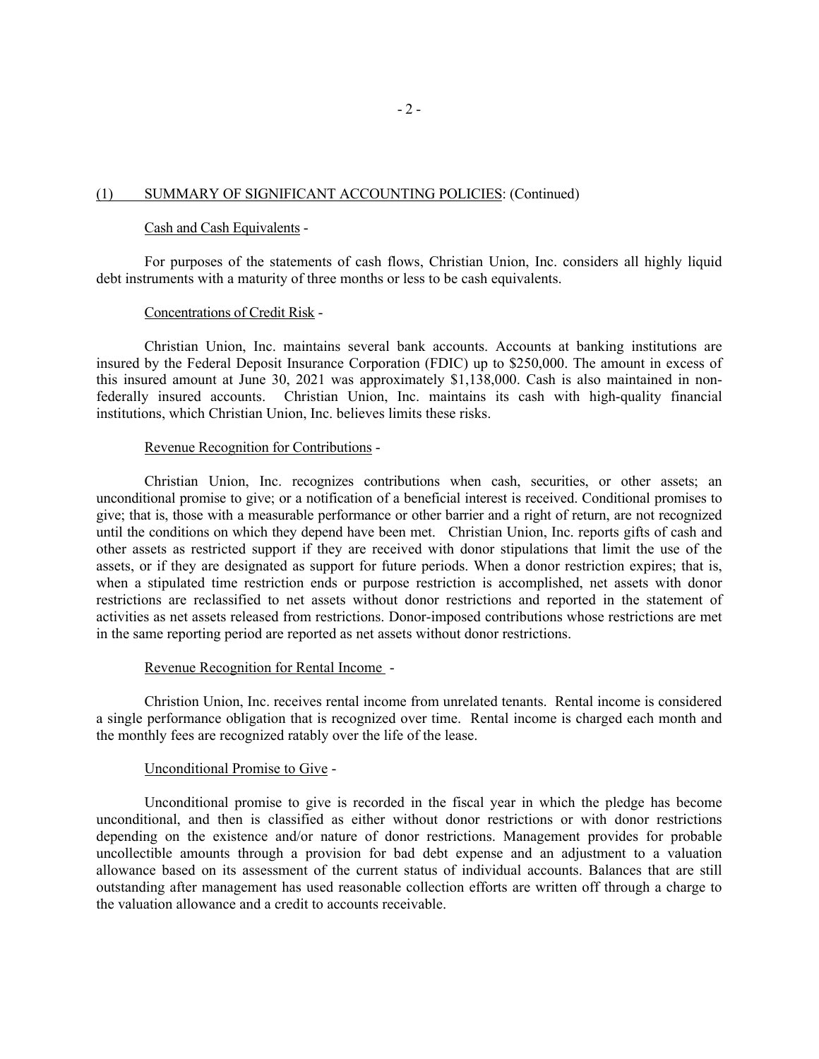### (1) SUMMARY OF SIGNIFICANT ACCOUNTING POLICIES: (Continued)

### Cash and Cash Equivalents -

 For purposes of the statements of cash flows, Christian Union, Inc. considers all highly liquid debt instruments with a maturity of three months or less to be cash equivalents.

### Concentrations of Credit Risk -

 Christian Union, Inc. maintains several bank accounts. Accounts at banking institutions are insured by the Federal Deposit Insurance Corporation (FDIC) up to \$250,000. The amount in excess of this insured amount at June 30, 2021 was approximately \$1,138,000. Cash is also maintained in nonfederally insured accounts. Christian Union, Inc. maintains its cash with high-quality financial institutions, which Christian Union, Inc. believes limits these risks.

#### Revenue Recognition for Contributions -

 Christian Union, Inc. recognizes contributions when cash, securities, or other assets; an unconditional promise to give; or a notification of a beneficial interest is received. Conditional promises to give; that is, those with a measurable performance or other barrier and a right of return, are not recognized until the conditions on which they depend have been met. Christian Union, Inc. reports gifts of cash and other assets as restricted support if they are received with donor stipulations that limit the use of the assets, or if they are designated as support for future periods. When a donor restriction expires; that is, when a stipulated time restriction ends or purpose restriction is accomplished, net assets with donor restrictions are reclassified to net assets without donor restrictions and reported in the statement of activities as net assets released from restrictions. Donor-imposed contributions whose restrictions are met in the same reporting period are reported as net assets without donor restrictions.

### Revenue Recognition for Rental Income -

 Christion Union, Inc. receives rental income from unrelated tenants. Rental income is considered a single performance obligation that is recognized over time. Rental income is charged each month and the monthly fees are recognized ratably over the life of the lease.

#### Unconditional Promise to Give -

 Unconditional promise to give is recorded in the fiscal year in which the pledge has become unconditional, and then is classified as either without donor restrictions or with donor restrictions depending on the existence and/or nature of donor restrictions. Management provides for probable uncollectible amounts through a provision for bad debt expense and an adjustment to a valuation allowance based on its assessment of the current status of individual accounts. Balances that are still outstanding after management has used reasonable collection efforts are written off through a charge to the valuation allowance and a credit to accounts receivable.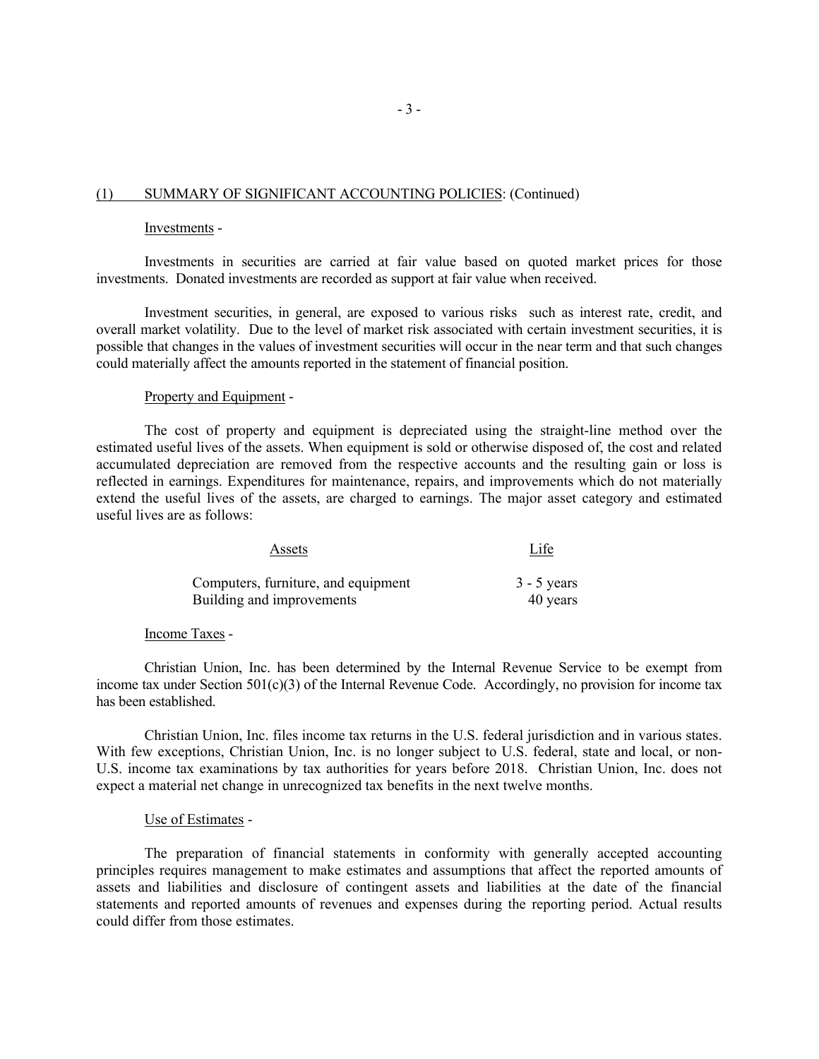#### (1) SUMMARY OF SIGNIFICANT ACCOUNTING POLICIES: (Continued)

#### Investments -

 Investments in securities are carried at fair value based on quoted market prices for those investments. Donated investments are recorded as support at fair value when received.

 Investment securities, in general, are exposed to various risks such as interest rate, credit, and overall market volatility. Due to the level of market risk associated with certain investment securities, it is possible that changes in the values of investment securities will occur in the near term and that such changes could materially affect the amounts reported in the statement of financial position.

# Property and Equipment -

 The cost of property and equipment is depreciated using the straight-line method over the estimated useful lives of the assets. When equipment is sold or otherwise disposed of, the cost and related accumulated depreciation are removed from the respective accounts and the resulting gain or loss is reflected in earnings. Expenditures for maintenance, repairs, and improvements which do not materially extend the useful lives of the assets, are charged to earnings. The major asset category and estimated useful lives are as follows:

| Assets                              | Life          |
|-------------------------------------|---------------|
| Computers, furniture, and equipment | $3 - 5$ years |
| Building and improvements           | 40 years      |

# Income Taxes -

 Christian Union, Inc. has been determined by the Internal Revenue Service to be exempt from income tax under Section 501(c)(3) of the Internal Revenue Code. Accordingly, no provision for income tax has been established.

 Christian Union, Inc. files income tax returns in the U.S. federal jurisdiction and in various states. With few exceptions, Christian Union, Inc. is no longer subject to U.S. federal, state and local, or non-U.S. income tax examinations by tax authorities for years before 2018. Christian Union, Inc. does not expect a material net change in unrecognized tax benefits in the next twelve months.

#### Use of Estimates -

The preparation of financial statements in conformity with generally accepted accounting principles requires management to make estimates and assumptions that affect the reported amounts of assets and liabilities and disclosure of contingent assets and liabilities at the date of the financial statements and reported amounts of revenues and expenses during the reporting period. Actual results could differ from those estimates.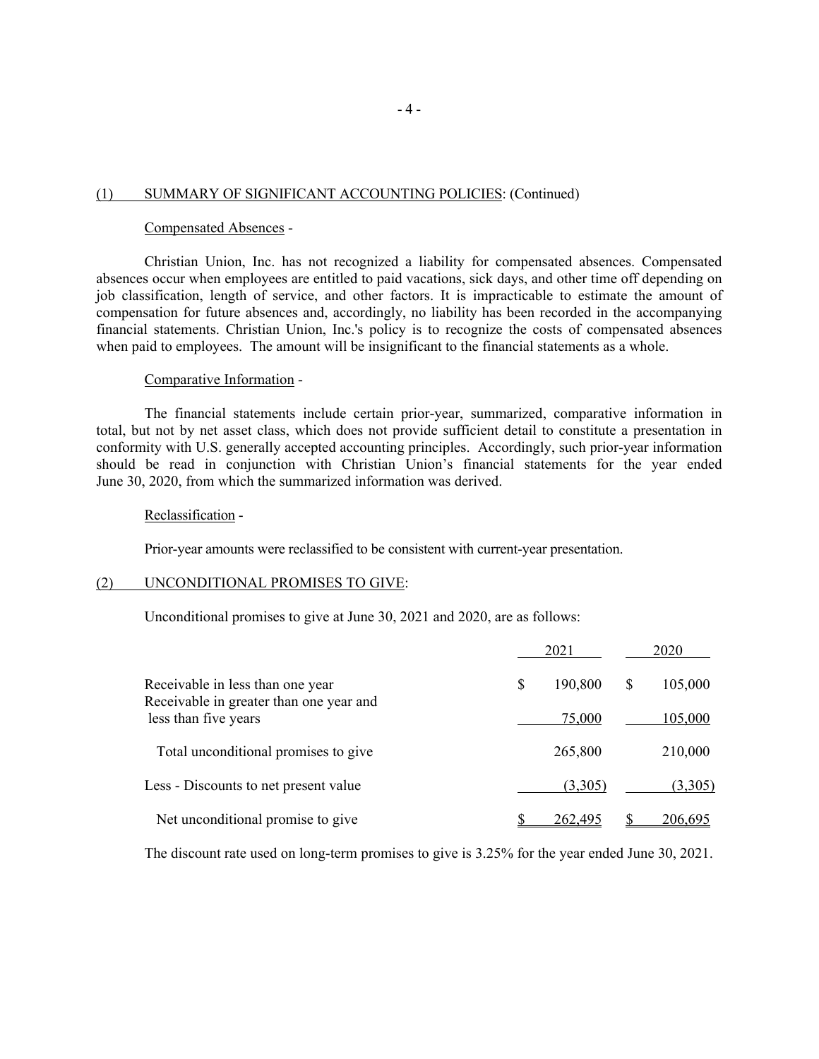### (1) SUMMARY OF SIGNIFICANT ACCOUNTING POLICIES: (Continued)

### Compensated Absences -

 Christian Union, Inc. has not recognized a liability for compensated absences. Compensated absences occur when employees are entitled to paid vacations, sick days, and other time off depending on job classification, length of service, and other factors. It is impracticable to estimate the amount of compensation for future absences and, accordingly, no liability has been recorded in the accompanying financial statements. Christian Union, Inc.'s policy is to recognize the costs of compensated absences when paid to employees. The amount will be insignificant to the financial statements as a whole.

### Comparative Information -

 The financial statements include certain prior-year, summarized, comparative information in total, but not by net asset class, which does not provide sufficient detail to constitute a presentation in conformity with U.S. generally accepted accounting principles. Accordingly, such prior-year information should be read in conjunction with Christian Union's financial statements for the year ended June 30, 2020, from which the summarized information was derived.

#### Reclassification -

Prior-year amounts were reclassified to be consistent with current-year presentation.

# (2) UNCONDITIONAL PROMISES TO GIVE:

Unconditional promises to give at June 30, 2021 and 2020, are as follows:

|                                                                             |   | 2021    | 2020           |
|-----------------------------------------------------------------------------|---|---------|----------------|
| Receivable in less than one year<br>Receivable in greater than one year and | S | 190,800 | \$<br>105,000  |
| less than five years                                                        |   | 75,000  | 105,000        |
| Total unconditional promises to give                                        |   | 265,800 | 210,000        |
| Less - Discounts to net present value                                       |   | (3,305) | (3,305)        |
| Net unconditional promise to give                                           |   | 262,495 | <u>206,695</u> |

The discount rate used on long-term promises to give is 3.25% for the year ended June 30, 2021.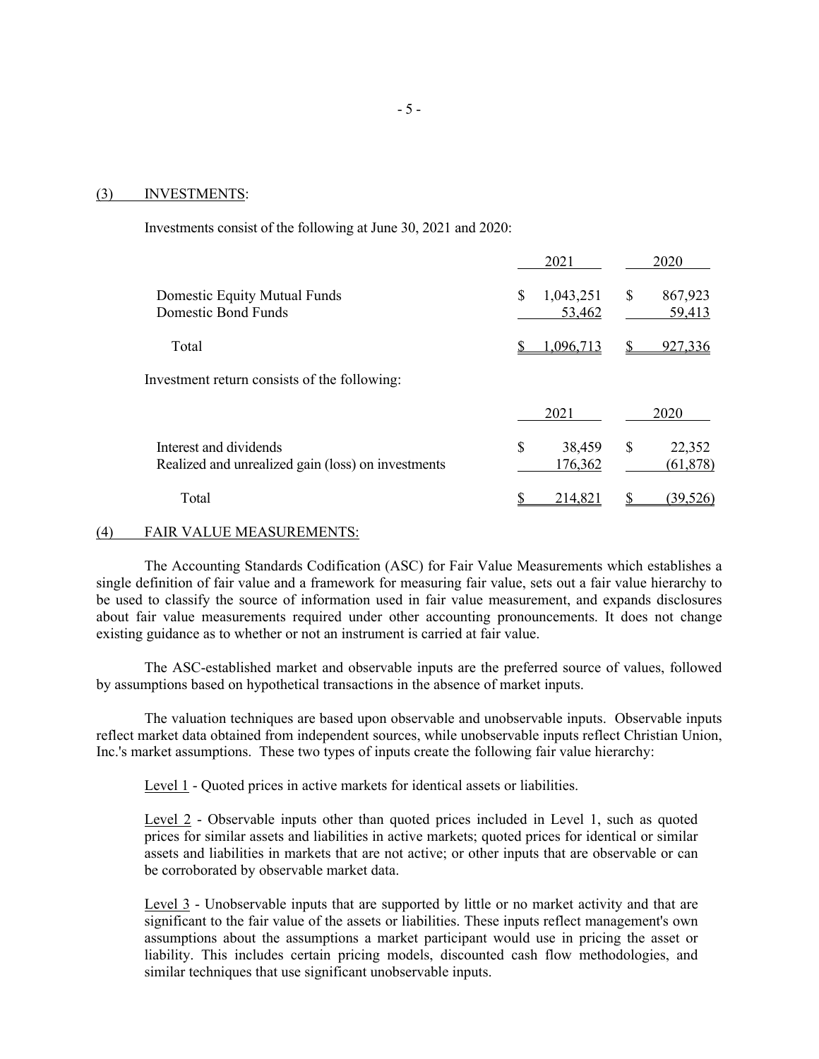#### (3) INVESTMENTS:

Investments consist of the following at June 30, 2021 and 2020:

|                                                                              | 2021                     | 2020                      |
|------------------------------------------------------------------------------|--------------------------|---------------------------|
| Domestic Equity Mutual Funds<br>Domestic Bond Funds                          | S<br>1,043,251<br>53,462 | \$<br>867,923<br>59,413   |
| Total                                                                        | 1,096,713                | 927,336                   |
| Investment return consists of the following:                                 |                          |                           |
|                                                                              | 2021                     | 2020                      |
| Interest and dividends<br>Realized and unrealized gain (loss) on investments | S<br>38,459<br>176,362   | \$<br>22,352<br>(61, 878) |
| Total                                                                        | 214,821                  | (39,526)                  |

### (4) FAIR VALUE MEASUREMENTS:

The Accounting Standards Codification (ASC) for Fair Value Measurements which establishes a single definition of fair value and a framework for measuring fair value, sets out a fair value hierarchy to be used to classify the source of information used in fair value measurement, and expands disclosures about fair value measurements required under other accounting pronouncements. It does not change existing guidance as to whether or not an instrument is carried at fair value.

The ASC-established market and observable inputs are the preferred source of values, followed by assumptions based on hypothetical transactions in the absence of market inputs.

 The valuation techniques are based upon observable and unobservable inputs. Observable inputs reflect market data obtained from independent sources, while unobservable inputs reflect Christian Union, Inc.'s market assumptions. These two types of inputs create the following fair value hierarchy:

Level 1 - Quoted prices in active markets for identical assets or liabilities.

Level 2 - Observable inputs other than quoted prices included in Level 1, such as quoted prices for similar assets and liabilities in active markets; quoted prices for identical or similar assets and liabilities in markets that are not active; or other inputs that are observable or can be corroborated by observable market data.

Level 3 - Unobservable inputs that are supported by little or no market activity and that are significant to the fair value of the assets or liabilities. These inputs reflect management's own assumptions about the assumptions a market participant would use in pricing the asset or liability. This includes certain pricing models, discounted cash flow methodologies, and similar techniques that use significant unobservable inputs.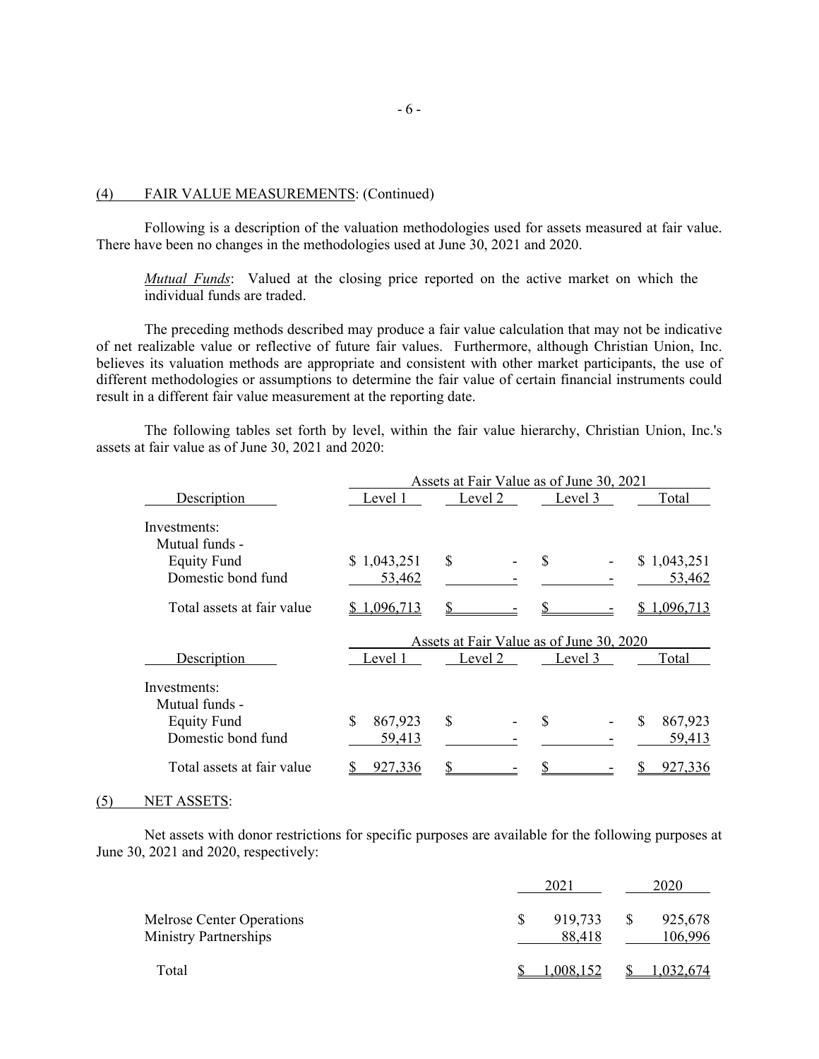#### (4) FAIR VALUE MEASUREMENTS: (Continued)

 Following is a description of the valuation methodologies used for assets measured at fair value. There have been no changes in the methodologies used at June 30, 2021 and 2020.

*Mutual Funds*: Valued at the closing price reported on the active market on which the individual funds are traded.

 The preceding methods described may produce a fair value calculation that may not be indicative of net realizable value or reflective of future fair values. Furthermore, although Christian Union, Inc. believes its valuation methods are appropriate and consistent with other market participants, the use of different methodologies or assumptions to determine the fair value of certain financial instruments could result in a different fair value measurement at the reporting date.

 The following tables set forth by level, within the fair value hierarchy, Christian Union, Inc.'s assets at fair value as of June 30, 2021 and 2020:

| Assets at Fair Value as of June 30, 2021 |               |         |          |  |                    |                                          |
|------------------------------------------|---------------|---------|----------|--|--------------------|------------------------------------------|
| Level 1                                  |               | Level 2 |          |  | Total              |                                          |
|                                          |               |         |          |  |                    |                                          |
|                                          |               |         |          |  |                    |                                          |
| \$1,043,251                              | $\mathcal{S}$ |         | <b>S</b> |  |                    | \$1,043,251                              |
| 53,462                                   |               |         |          |  |                    | 53,462                                   |
| \$1,096,713                              | \$            |         |          |  |                    | 1,096,713                                |
|                                          |               |         |          |  |                    |                                          |
| Level 1                                  |               |         |          |  |                    | Total                                    |
|                                          |               |         |          |  |                    |                                          |
|                                          |               |         |          |  |                    |                                          |
| 867,923                                  | \$            |         | \$       |  | \$                 | 867,923                                  |
|                                          |               |         |          |  |                    |                                          |
| 59,413                                   |               |         |          |  |                    | 59,413                                   |
|                                          |               |         | Level 2  |  | Level 3<br>Level 3 | Assets at Fair Value as of June 30, 2020 |

#### (5) NET ASSETS:

 Net assets with donor restrictions for specific purposes are available for the following purposes at June 30, 2021 and 2020, respectively:

|                                                           | 2021              |                    |
|-----------------------------------------------------------|-------------------|--------------------|
| Melrose Center Operations<br><b>Ministry Partnerships</b> | 919,733<br>88.418 | 925,678<br>106.996 |
| Total                                                     | ,008,152          | 1,032,674          |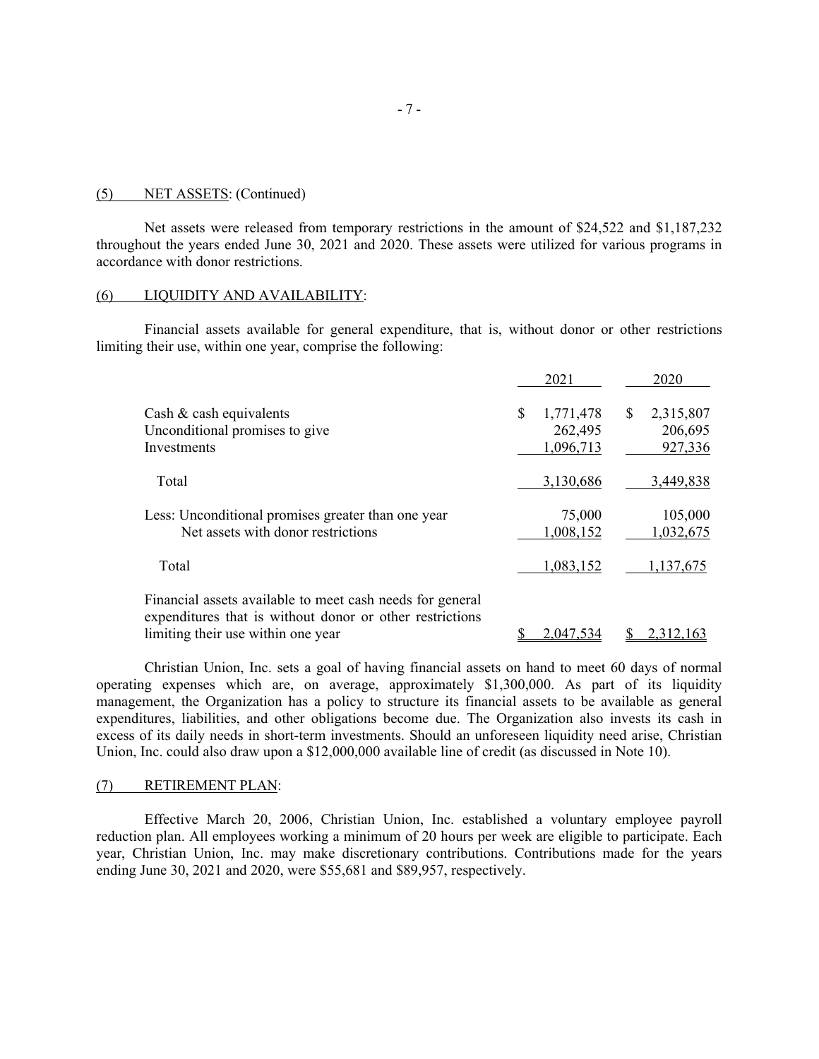#### (5) NET ASSETS: (Continued)

 Net assets were released from temporary restrictions in the amount of \$24,522 and \$1,187,232 throughout the years ended June 30, 2021 and 2020. These assets were utilized for various programs in accordance with donor restrictions.

# (6) LIQUIDITY AND AVAILABILITY:

 Financial assets available for general expenditure, that is, without donor or other restrictions limiting their use, within one year, comprise the following:

|                                                                                                                                                             | 2021                                    | 2020                                   |
|-------------------------------------------------------------------------------------------------------------------------------------------------------------|-----------------------------------------|----------------------------------------|
| Cash & cash equivalents<br>Unconditional promises to give<br>Investments                                                                                    | \$<br>1,771,478<br>262,495<br>1,096,713 | \$.<br>2,315,807<br>206,695<br>927,336 |
| Total                                                                                                                                                       | 3,130,686                               | 3,449,838                              |
| Less: Unconditional promises greater than one year<br>Net assets with donor restrictions                                                                    | 75,000<br>1,008,152                     | 105,000<br>1,032,675                   |
| Total                                                                                                                                                       | 1,083,152                               | 1,137,675                              |
| Financial assets available to meet cash needs for general<br>expenditures that is without donor or other restrictions<br>limiting their use within one year | 2,047,534                               | 2,312,163                              |

 Christian Union, Inc. sets a goal of having financial assets on hand to meet 60 days of normal operating expenses which are, on average, approximately \$1,300,000. As part of its liquidity management, the Organization has a policy to structure its financial assets to be available as general expenditures, liabilities, and other obligations become due. The Organization also invests its cash in excess of its daily needs in short-term investments. Should an unforeseen liquidity need arise, Christian Union, Inc. could also draw upon a \$12,000,000 available line of credit (as discussed in Note 10).

# (7) RETIREMENT PLAN:

 Effective March 20, 2006, Christian Union, Inc. established a voluntary employee payroll reduction plan. All employees working a minimum of 20 hours per week are eligible to participate. Each year, Christian Union, Inc. may make discretionary contributions. Contributions made for the years ending June 30, 2021 and 2020, were \$55,681 and \$89,957, respectively.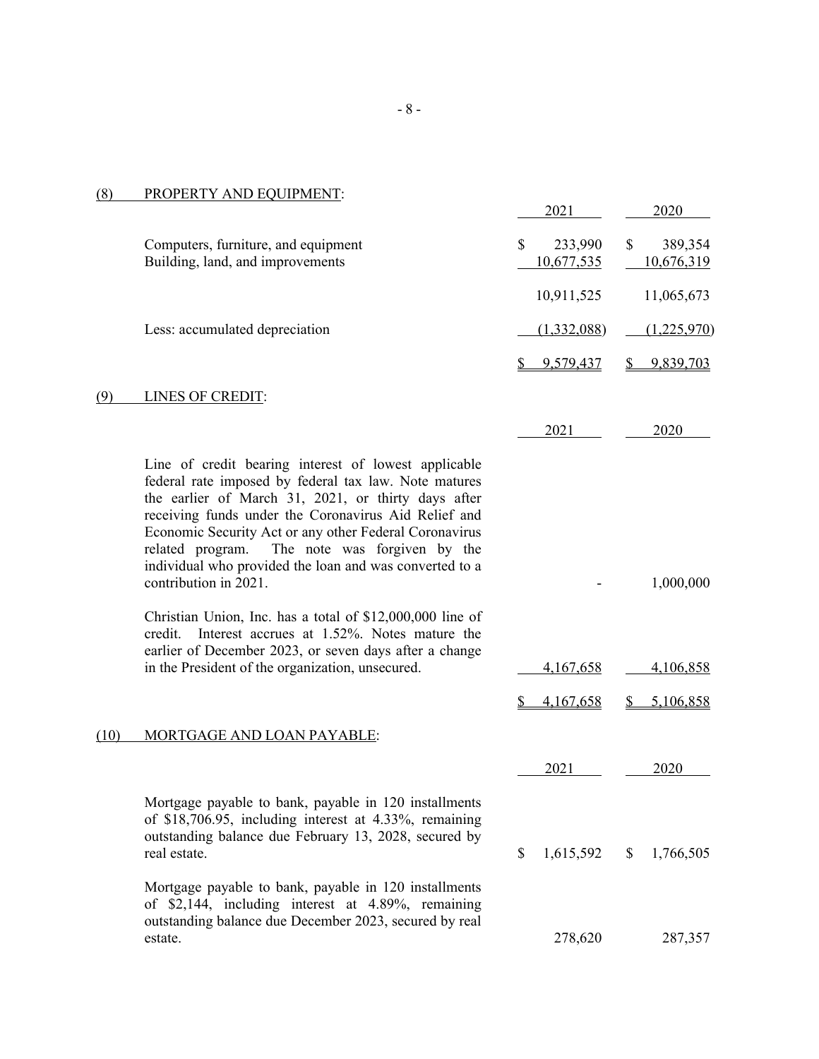# (8) PROPERTY AND EQUIPMENT:

|      |                                                                                                                                                                                                                                                                                                                                                                                                                                | 2021                               | 2020                                  |
|------|--------------------------------------------------------------------------------------------------------------------------------------------------------------------------------------------------------------------------------------------------------------------------------------------------------------------------------------------------------------------------------------------------------------------------------|------------------------------------|---------------------------------------|
|      | Computers, furniture, and equipment<br>Building, land, and improvements                                                                                                                                                                                                                                                                                                                                                        | \$<br>233,990<br><u>10,677,535</u> | $\mathbb{S}$<br>389,354<br>10,676,319 |
|      |                                                                                                                                                                                                                                                                                                                                                                                                                                | 10,911,525                         | 11,065,673                            |
|      | Less: accumulated depreciation                                                                                                                                                                                                                                                                                                                                                                                                 | (1,332,088)                        | (1,225,970)                           |
|      |                                                                                                                                                                                                                                                                                                                                                                                                                                | 9,579,437                          | 9,839,703                             |
| (9)  | <b>LINES OF CREDIT:</b>                                                                                                                                                                                                                                                                                                                                                                                                        |                                    |                                       |
|      |                                                                                                                                                                                                                                                                                                                                                                                                                                | 2021                               | 2020                                  |
|      | Line of credit bearing interest of lowest applicable<br>federal rate imposed by federal tax law. Note matures<br>the earlier of March 31, 2021, or thirty days after<br>receiving funds under the Coronavirus Aid Relief and<br>Economic Security Act or any other Federal Coronavirus<br>related program.<br>The note was forgiven by the<br>individual who provided the loan and was converted to a<br>contribution in 2021. |                                    | 1,000,000                             |
|      |                                                                                                                                                                                                                                                                                                                                                                                                                                |                                    |                                       |
|      | Christian Union, Inc. has a total of \$12,000,000 line of<br>Interest accrues at 1.52%. Notes mature the<br>credit.<br>earlier of December 2023, or seven days after a change                                                                                                                                                                                                                                                  |                                    |                                       |
|      | in the President of the organization, unsecured.                                                                                                                                                                                                                                                                                                                                                                               | 4,167,658                          | 4,106,858                             |
|      |                                                                                                                                                                                                                                                                                                                                                                                                                                | 4,167,658                          | 5,106,858<br>S                        |
| (10) | MORTGAGE AND LOAN PAYABLE:                                                                                                                                                                                                                                                                                                                                                                                                     |                                    |                                       |
|      |                                                                                                                                                                                                                                                                                                                                                                                                                                | 2021                               | 2020                                  |
|      | Mortgage payable to bank, payable in 120 installments<br>of \$18,706.95, including interest at 4.33%, remaining<br>outstanding balance due February 13, 2028, secured by<br>real estate.                                                                                                                                                                                                                                       | \$<br>1,615,592                    | $\mathbb{S}$<br>1,766,505             |
|      | Mortgage payable to bank, payable in 120 installments<br>of \$2,144, including interest at 4.89%, remaining<br>outstanding balance due December 2023, secured by real<br>estate.                                                                                                                                                                                                                                               | 278,620                            | 287,357                               |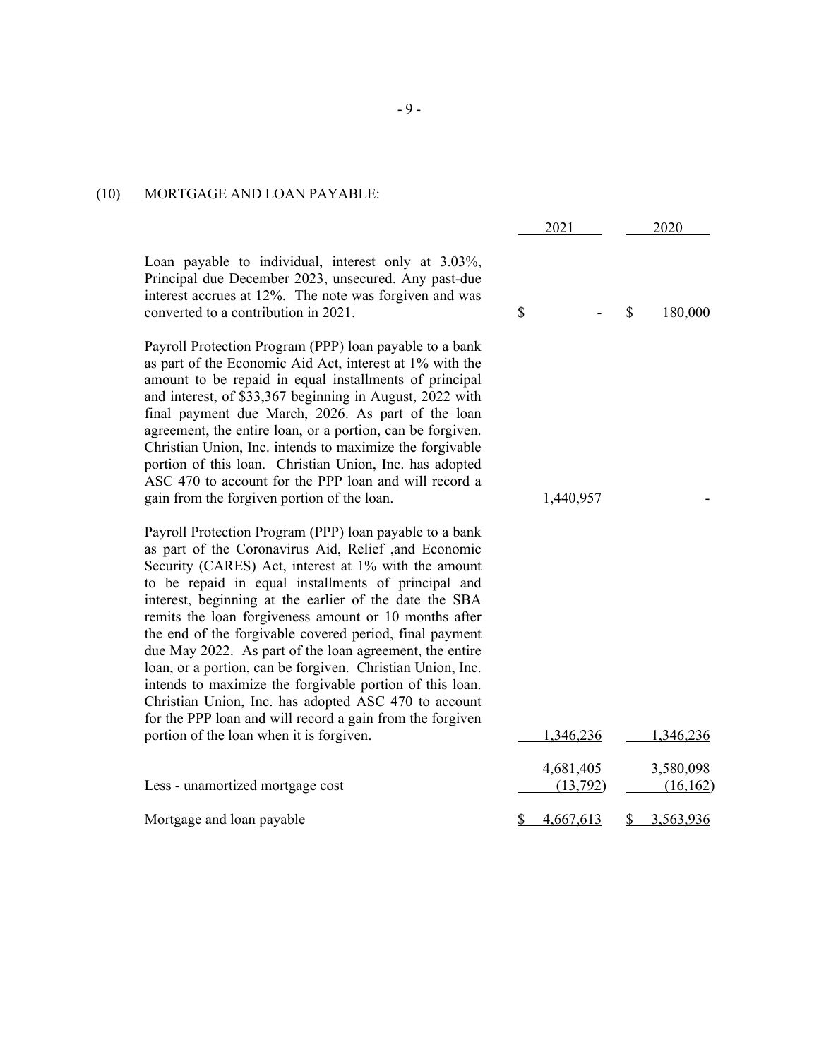# (10) MORTGAGE AND LOAN PAYABLE:

|                                                                                                                                                                                                                                                                                                                                                                                                                                                                                                                                                                                                                                                                                                                                                                                                                                                                                                                                                                                                              | 2021                  | 2020                     |
|--------------------------------------------------------------------------------------------------------------------------------------------------------------------------------------------------------------------------------------------------------------------------------------------------------------------------------------------------------------------------------------------------------------------------------------------------------------------------------------------------------------------------------------------------------------------------------------------------------------------------------------------------------------------------------------------------------------------------------------------------------------------------------------------------------------------------------------------------------------------------------------------------------------------------------------------------------------------------------------------------------------|-----------------------|--------------------------|
| Loan payable to individual, interest only at 3.03%,<br>Principal due December 2023, unsecured. Any past-due<br>interest accrues at 12%. The note was forgiven and was<br>converted to a contribution in 2021.                                                                                                                                                                                                                                                                                                                                                                                                                                                                                                                                                                                                                                                                                                                                                                                                | \$                    | $\mathcal{S}$<br>180,000 |
| Payroll Protection Program (PPP) loan payable to a bank<br>as part of the Economic Aid Act, interest at 1% with the<br>amount to be repaid in equal installments of principal<br>and interest, of \$33,367 beginning in August, 2022 with<br>final payment due March, 2026. As part of the loan<br>agreement, the entire loan, or a portion, can be forgiven.<br>Christian Union, Inc. intends to maximize the forgivable<br>portion of this loan. Christian Union, Inc. has adopted<br>ASC 470 to account for the PPP loan and will record a<br>gain from the forgiven portion of the loan.<br>Payroll Protection Program (PPP) loan payable to a bank<br>as part of the Coronavirus Aid, Relief ,and Economic<br>Security (CARES) Act, interest at 1% with the amount<br>to be repaid in equal installments of principal and<br>interest, beginning at the earlier of the date the SBA<br>remits the loan forgiveness amount or 10 months after<br>the end of the forgivable covered period, final payment | 1,440,957             |                          |
| due May 2022. As part of the loan agreement, the entire<br>loan, or a portion, can be forgiven. Christian Union, Inc.<br>intends to maximize the forgivable portion of this loan.<br>Christian Union, Inc. has adopted ASC 470 to account<br>for the PPP loan and will record a gain from the forgiven                                                                                                                                                                                                                                                                                                                                                                                                                                                                                                                                                                                                                                                                                                       |                       |                          |
| portion of the loan when it is forgiven.                                                                                                                                                                                                                                                                                                                                                                                                                                                                                                                                                                                                                                                                                                                                                                                                                                                                                                                                                                     | 1,346,236             | 1,346,236                |
| Less - unamortized mortgage cost                                                                                                                                                                                                                                                                                                                                                                                                                                                                                                                                                                                                                                                                                                                                                                                                                                                                                                                                                                             | 4,681,405<br>(13,792) | 3,580,098<br>(16,162)    |
| Mortgage and loan payable                                                                                                                                                                                                                                                                                                                                                                                                                                                                                                                                                                                                                                                                                                                                                                                                                                                                                                                                                                                    | 4,667,613<br>\$       | 3,563,936<br>S           |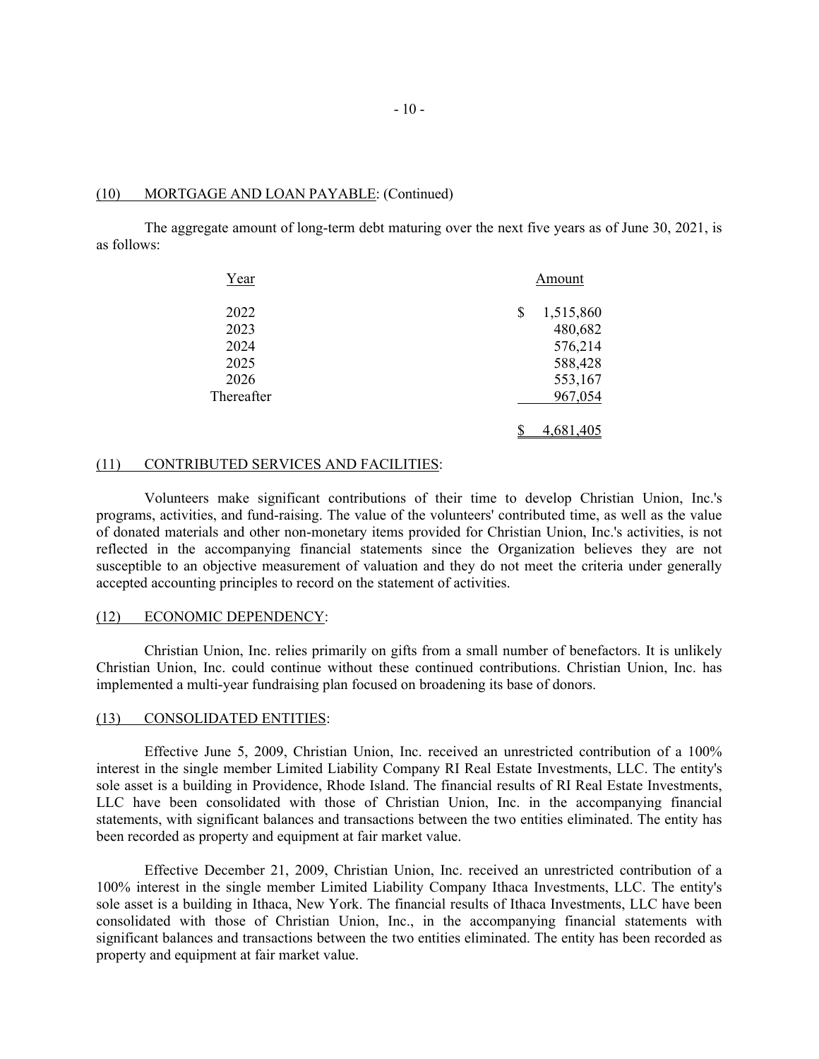#### (10) MORTGAGE AND LOAN PAYABLE: (Continued)

The aggregate amount of long-term debt maturing over the next five years as of June 30, 2021, is as follows:

| Year       | Amount          |
|------------|-----------------|
| 2022       | 1,515,860<br>\$ |
| 2023       | 480,682         |
| 2024       | 576,214         |
| 2025       | 588,428         |
| 2026       | 553,167         |
| Thereafter | 967,054         |
|            | \$<br>4,681,405 |

#### (11) CONTRIBUTED SERVICES AND FACILITIES:

 Volunteers make significant contributions of their time to develop Christian Union, Inc.'s programs, activities, and fund-raising. The value of the volunteers' contributed time, as well as the value of donated materials and other non-monetary items provided for Christian Union, Inc.'s activities, is not reflected in the accompanying financial statements since the Organization believes they are not susceptible to an objective measurement of valuation and they do not meet the criteria under generally accepted accounting principles to record on the statement of activities.

# (12) ECONOMIC DEPENDENCY:

 Christian Union, Inc. relies primarily on gifts from a small number of benefactors. It is unlikely Christian Union, Inc. could continue without these continued contributions. Christian Union, Inc. has implemented a multi-year fundraising plan focused on broadening its base of donors.

#### (13) CONSOLIDATED ENTITIES:

 Effective June 5, 2009, Christian Union, Inc. received an unrestricted contribution of a 100% interest in the single member Limited Liability Company RI Real Estate Investments, LLC. The entity's sole asset is a building in Providence, Rhode Island. The financial results of RI Real Estate Investments, LLC have been consolidated with those of Christian Union, Inc. in the accompanying financial statements, with significant balances and transactions between the two entities eliminated. The entity has been recorded as property and equipment at fair market value.

 Effective December 21, 2009, Christian Union, Inc. received an unrestricted contribution of a 100% interest in the single member Limited Liability Company Ithaca Investments, LLC. The entity's sole asset is a building in Ithaca, New York. The financial results of Ithaca Investments, LLC have been consolidated with those of Christian Union, Inc., in the accompanying financial statements with significant balances and transactions between the two entities eliminated. The entity has been recorded as property and equipment at fair market value.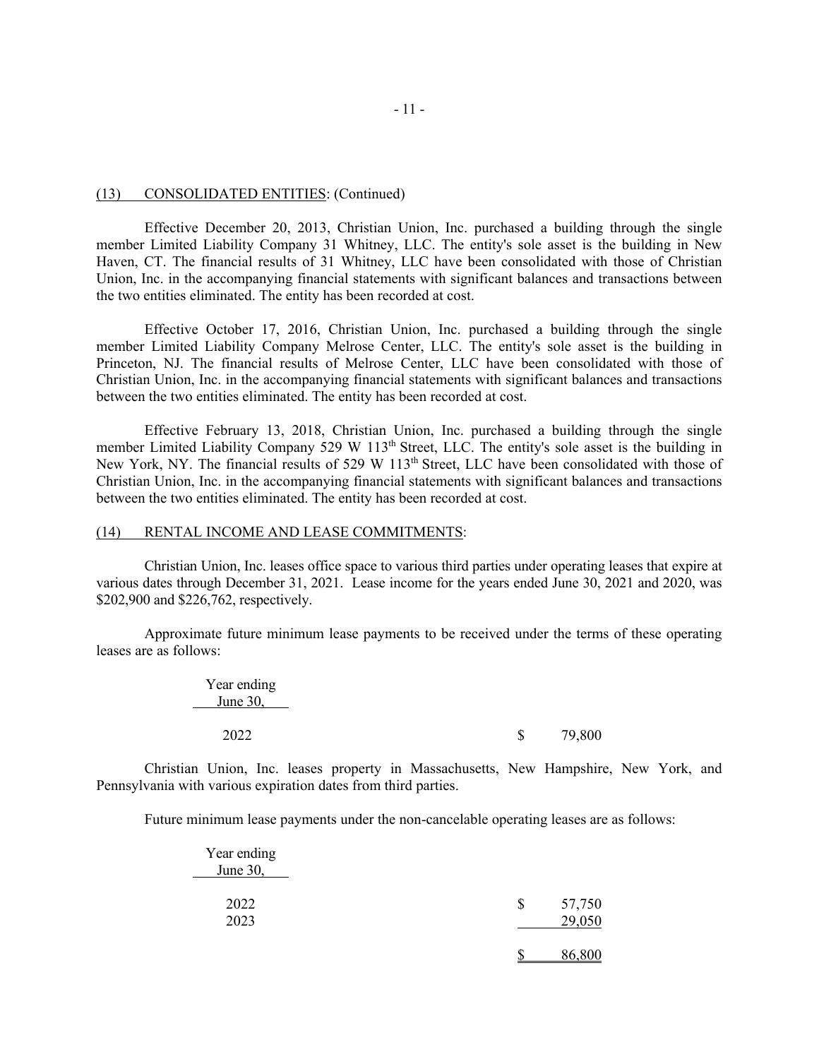### (13) CONSOLIDATED ENTITIES: (Continued)

 Effective December 20, 2013, Christian Union, Inc. purchased a building through the single member Limited Liability Company 31 Whitney, LLC. The entity's sole asset is the building in New Haven, CT. The financial results of 31 Whitney, LLC have been consolidated with those of Christian Union, Inc. in the accompanying financial statements with significant balances and transactions between the two entities eliminated. The entity has been recorded at cost.

 Effective October 17, 2016, Christian Union, Inc. purchased a building through the single member Limited Liability Company Melrose Center, LLC. The entity's sole asset is the building in Princeton, NJ. The financial results of Melrose Center, LLC have been consolidated with those of Christian Union, Inc. in the accompanying financial statements with significant balances and transactions between the two entities eliminated. The entity has been recorded at cost.

 Effective February 13, 2018, Christian Union, Inc. purchased a building through the single member Limited Liability Company 529 W 113<sup>th</sup> Street, LLC. The entity's sole asset is the building in New York, NY. The financial results of 529 W 113<sup>th</sup> Street, LLC have been consolidated with those of Christian Union, Inc. in the accompanying financial statements with significant balances and transactions between the two entities eliminated. The entity has been recorded at cost.

## (14) RENTAL INCOME AND LEASE COMMITMENTS:

 Christian Union, Inc. leases office space to various third parties under operating leases that expire at various dates through December 31, 2021. Lease income for the years ended June 30, 2021 and 2020, was \$202,900 and \$226,762, respectively.

 Approximate future minimum lease payments to be received under the terms of these operating leases are as follows:

| Year ending |                           |        |
|-------------|---------------------------|--------|
| June $30$ , |                           |        |
|             |                           |        |
| 2022        | $\boldsymbol{\mathsf{S}}$ | 79,800 |

 Christian Union, Inc. leases property in Massachusetts, New Hampshire, New York, and Pennsylvania with various expiration dates from third parties.

Future minimum lease payments under the non-cancelable operating leases are as follows:

| Year ending<br>June 30, |                        |
|-------------------------|------------------------|
| 2022<br>2023            | \$<br>57,750<br>29,050 |
|                         | ¢<br><u>86,800</u>     |